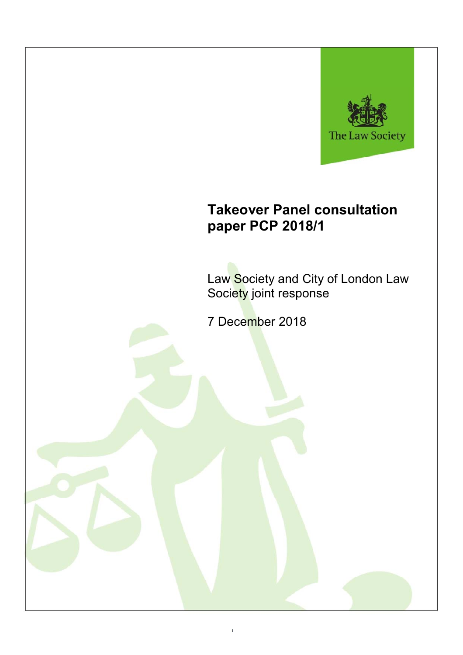

# **Takeover Panel consultation paper PCP 2018/1**

Law Society and City of London Law Society joint response

7 December 2018

1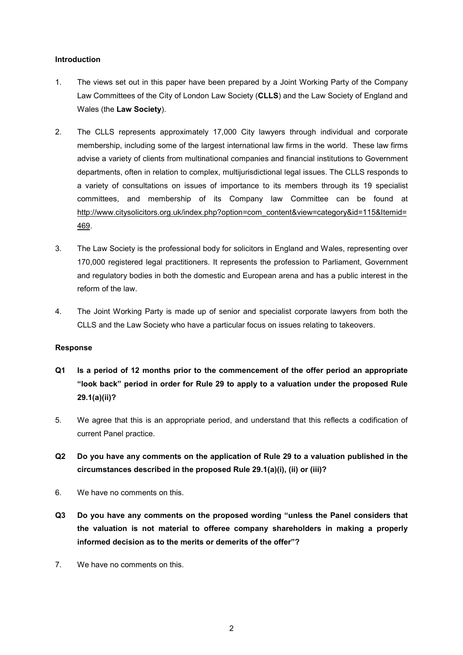#### **Introduction**

- 1. The views set out in this paper have been prepared by a Joint Working Party of the Company Law Committees of the City of London Law Society (**CLLS**) and the Law Society of England and Wales (the **Law Society**).
- 2. The CLLS represents approximately 17,000 City lawyers through individual and corporate membership, including some of the largest international law firms in the world. These law firms advise a variety of clients from multinational companies and financial institutions to Government departments, often in relation to complex, multijurisdictional legal issues. The CLLS responds to a variety of consultations on issues of importance to its members through its 19 specialist committees, and membership of its Company law Committee can be found at http://www.citysolicitors.org.uk/index.php?option=com\_content&view=category&id=115&Itemid= 469.
- 3. The Law Society is the professional body for solicitors in England and Wales, representing over 170,000 registered legal practitioners. It represents the profession to Parliament, Government and regulatory bodies in both the domestic and European arena and has a public interest in the reform of the law.
- 4. The Joint Working Party is made up of senior and specialist corporate lawyers from both the CLLS and the Law Society who have a particular focus on issues relating to takeovers.

#### **Response**

- **Q1 Is a period of 12 months prior to the commencement of the offer period an appropriate "look back" period in order for Rule 29 to apply to a valuation under the proposed Rule 29.1(a)(ii)?**
- 5. We agree that this is an appropriate period, and understand that this reflects a codification of current Panel practice.
- **Q2 Do you have any comments on the application of Rule 29 to a valuation published in the circumstances described in the proposed Rule 29.1(a)(i), (ii) or (iii)?**
- 6. We have no comments on this.
- **Q3 Do you have any comments on the proposed wording "unless the Panel considers that the valuation is not material to offeree company shareholders in making a properly informed decision as to the merits or demerits of the offer"?**
- 7. We have no comments on this.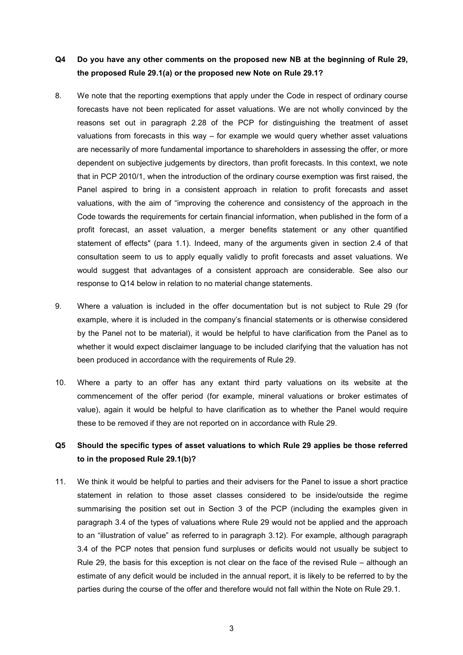## **Q4 Do you have any other comments on the proposed new NB at the beginning of Rule 29, the proposed Rule 29.1(a) or the proposed new Note on Rule 29.1?**

- 8. We note that the reporting exemptions that apply under the Code in respect of ordinary course forecasts have not been replicated for asset valuations. We are not wholly convinced by the reasons set out in paragraph 2.28 of the PCP for distinguishing the treatment of asset valuations from forecasts in this way – for example we would query whether asset valuations are necessarily of more fundamental importance to shareholders in assessing the offer, or more dependent on subjective judgements by directors, than profit forecasts. In this context, we note that in PCP 2010/1, when the introduction of the ordinary course exemption was first raised, the Panel aspired to bring in a consistent approach in relation to profit forecasts and asset valuations, with the aim of "improving the coherence and consistency of the approach in the Code towards the requirements for certain financial information, when published in the form of a profit forecast, an asset valuation, a merger benefits statement or any other quantified statement of effects" (para 1.1). Indeed, many of the arguments given in section 2.4 of that consultation seem to us to apply equally validly to profit forecasts and asset valuations. We would suggest that advantages of a consistent approach are considerable. See also our response to Q14 below in relation to no material change statements.
- 9. Where a valuation is included in the offer documentation but is not subject to Rule 29 (for example, where it is included in the company's financial statements or is otherwise considered by the Panel not to be material), it would be helpful to have clarification from the Panel as to whether it would expect disclaimer language to be included clarifying that the valuation has not been produced in accordance with the requirements of Rule 29.
- 10. Where a party to an offer has any extant third party valuations on its website at the commencement of the offer period (for example, mineral valuations or broker estimates of value), again it would be helpful to have clarification as to whether the Panel would require these to be removed if they are not reported on in accordance with Rule 29.

## **Q5 Should the specific types of asset valuations to which Rule 29 applies be those referred to in the proposed Rule 29.1(b)?**

11. We think it would be helpful to parties and their advisers for the Panel to issue a short practice statement in relation to those asset classes considered to be inside/outside the regime summarising the position set out in Section 3 of the PCP (including the examples given in paragraph 3.4 of the types of valuations where Rule 29 would not be applied and the approach to an "illustration of value" as referred to in paragraph 3.12). For example, although paragraph 3.4 of the PCP notes that pension fund surpluses or deficits would not usually be subject to Rule 29, the basis for this exception is not clear on the face of the revised Rule – although an estimate of any deficit would be included in the annual report, it is likely to be referred to by the parties during the course of the offer and therefore would not fall within the Note on Rule 29.1.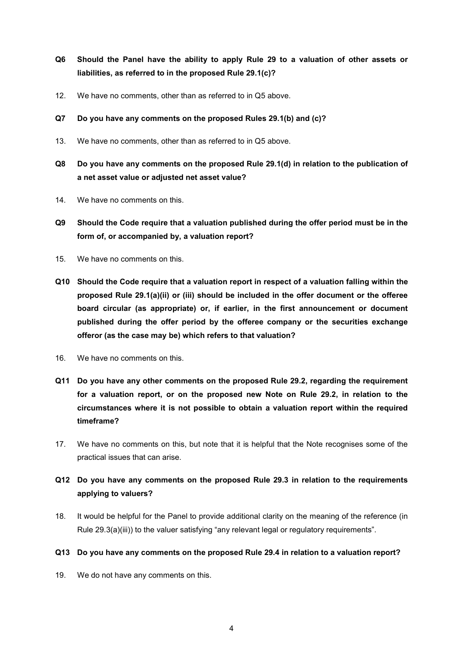- **Q6 Should the Panel have the ability to apply Rule 29 to a valuation of other assets or liabilities, as referred to in the proposed Rule 29.1(c)?**
- 12. We have no comments, other than as referred to in Q5 above.
- **Q7 Do you have any comments on the proposed Rules 29.1(b) and (c)?**
- 13. We have no comments, other than as referred to in Q5 above.
- **Q8 Do you have any comments on the proposed Rule 29.1(d) in relation to the publication of a net asset value or adjusted net asset value?**
- 14. We have no comments on this.
- **Q9 Should the Code require that a valuation published during the offer period must be in the form of, or accompanied by, a valuation report?**
- 15. We have no comments on this.
- **Q10 Should the Code require that a valuation report in respect of a valuation falling within the proposed Rule 29.1(a)(ii) or (iii) should be included in the offer document or the offeree board circular (as appropriate) or, if earlier, in the first announcement or document published during the offer period by the offeree company or the securities exchange offeror (as the case may be) which refers to that valuation?**
- 16. We have no comments on this.
- **Q11 Do you have any other comments on the proposed Rule 29.2, regarding the requirement for a valuation report, or on the proposed new Note on Rule 29.2, in relation to the circumstances where it is not possible to obtain a valuation report within the required timeframe?**
- 17. We have no comments on this, but note that it is helpful that the Note recognises some of the practical issues that can arise.
- **Q12 Do you have any comments on the proposed Rule 29.3 in relation to the requirements applying to valuers?**
- 18. It would be helpful for the Panel to provide additional clarity on the meaning of the reference (in Rule 29.3(a)(iii)) to the valuer satisfying "any relevant legal or regulatory requirements".

#### **Q13 Do you have any comments on the proposed Rule 29.4 in relation to a valuation report?**

19. We do not have any comments on this.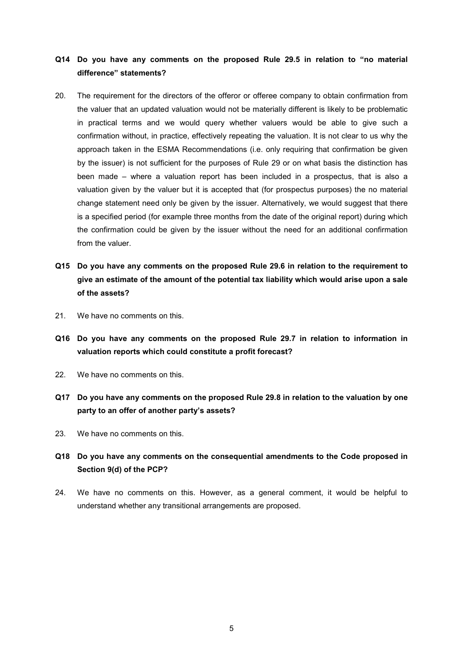## **Q14 Do you have any comments on the proposed Rule 29.5 in relation to "no material difference" statements?**

- 20. The requirement for the directors of the offeror or offeree company to obtain confirmation from the valuer that an updated valuation would not be materially different is likely to be problematic in practical terms and we would query whether valuers would be able to give such a confirmation without, in practice, effectively repeating the valuation. It is not clear to us why the approach taken in the ESMA Recommendations (i.e. only requiring that confirmation be given by the issuer) is not sufficient for the purposes of Rule 29 or on what basis the distinction has been made – where a valuation report has been included in a prospectus, that is also a valuation given by the valuer but it is accepted that (for prospectus purposes) the no material change statement need only be given by the issuer. Alternatively, we would suggest that there is a specified period (for example three months from the date of the original report) during which the confirmation could be given by the issuer without the need for an additional confirmation from the valuer.
- **Q15 Do you have any comments on the proposed Rule 29.6 in relation to the requirement to give an estimate of the amount of the potential tax liability which would arise upon a sale of the assets?**
- 21. We have no comments on this.
- **Q16 Do you have any comments on the proposed Rule 29.7 in relation to information in valuation reports which could constitute a profit forecast?**
- 22. We have no comments on this.
- **Q17 Do you have any comments on the proposed Rule 29.8 in relation to the valuation by one party to an offer of another party's assets?**
- 23. We have no comments on this.
- **Q18 Do you have any comments on the consequential amendments to the Code proposed in Section 9(d) of the PCP?**
- 24. We have no comments on this. However, as a general comment, it would be helpful to understand whether any transitional arrangements are proposed.